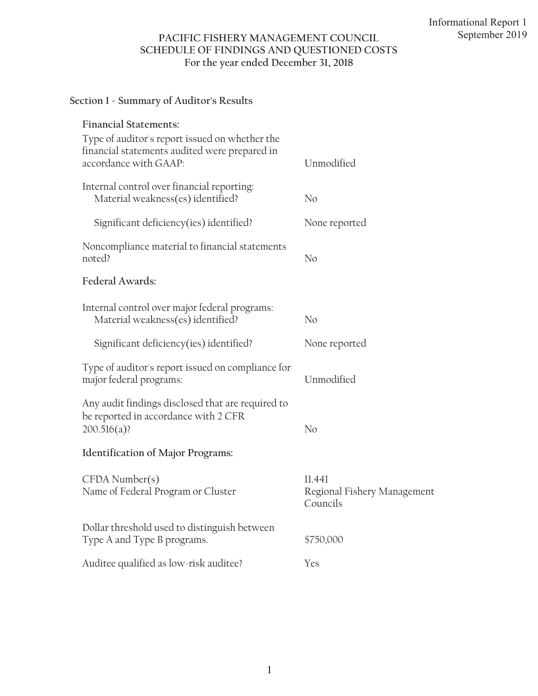# **PACIFIC FISHERY MANAGEMENT COUNCIL SCHEDULE OF FINDINGS AND QUESTIONED COSTS For the year ended December 31, 2018**

# **Section 1 - Summary of Auditor's Results**

| <b>Financial Statements:</b>                                                                                             |                                                   |
|--------------------------------------------------------------------------------------------------------------------------|---------------------------------------------------|
| Type of auditor's report issued on whether the<br>financial statements audited were prepared in<br>accordance with GAAP: | Unmodified                                        |
| Internal control over financial reporting:<br>Material weakness(es) identified?                                          | No                                                |
| Significant deficiency(ies) identified?                                                                                  | None reported                                     |
| Noncompliance material to financial statements<br>noted?                                                                 | N <sub>o</sub>                                    |
| Federal Awards:                                                                                                          |                                                   |
| Internal control over major federal programs:<br>Material weakness(es) identified?                                       | No                                                |
| Significant deficiency(ies) identified?                                                                                  | None reported                                     |
| Type of auditor's report issued on compliance for<br>major federal programs:                                             | Unmodified                                        |
| Any audit findings disclosed that are required to<br>be reported in accordance with 2 CFR<br>$200.516(a)$ ?              | No                                                |
| <b>Identification of Major Programs:</b>                                                                                 |                                                   |
| $CFDA$ Number $(s)$<br>Name of Federal Program or Cluster                                                                | 11.441<br>Regional Fishery Management<br>Councils |
| Dollar threshold used to distinguish between<br>Type A and Type B programs.                                              | \$750,000                                         |
| Auditee qualified as low-risk auditee?                                                                                   | Yes                                               |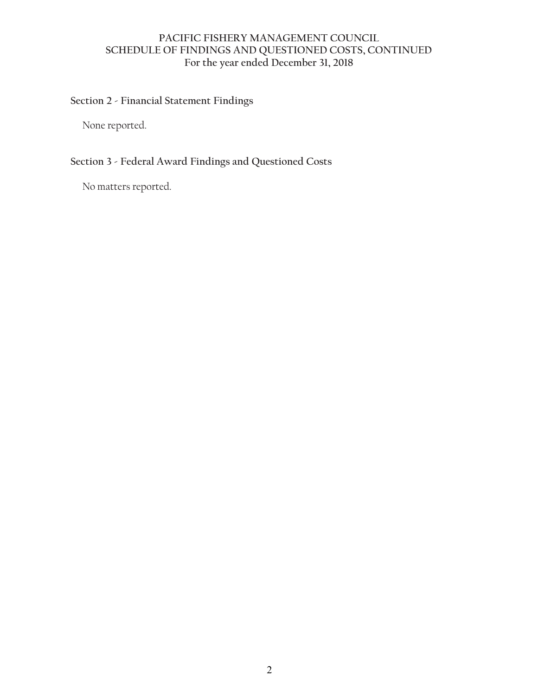### **PACIFIC FISHERY MANAGEMENT COUNCIL SCHEDULE OF FINDINGS AND QUESTIONED COSTS, CONTINUED For the year ended December 31, 2018**

#### **Section 2 - Financial Statement Findings**

None reported.

# **Section 3 - Federal Award Findings and Questioned Costs**

No matters reported.